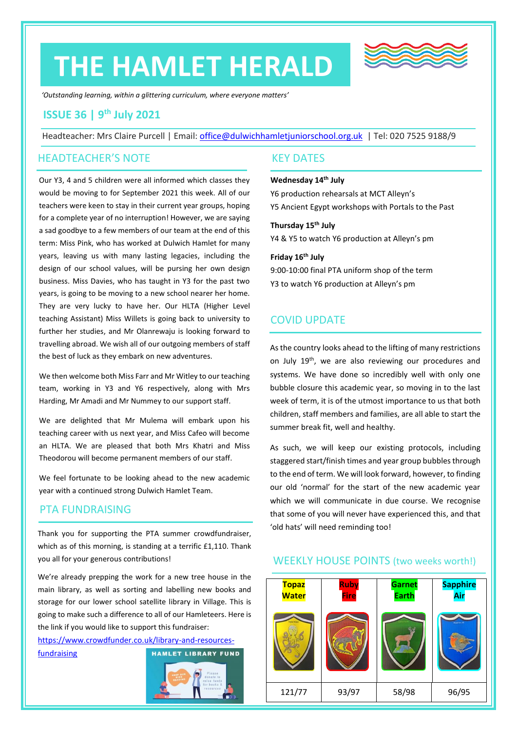# **THE HAMLET HERALD**



*'Outstanding learning, within a glittering curriculum, where everyone matters'*

# **ISSUE 36 | 9 th July 2021**

Headteacher: Mrs Claire Purcell | Email: [office@dulwichhamletjuniorschool.org.uk](mailto:office@dulwichhamletjuniorschool.org.uk) | Tel: 020 7525 9188/9

## HEADTEACHER'S NOTE

Our Y3, 4 and 5 children were all informed which classes they would be moving to for September 2021 this week. All of our teachers were keen to stay in their current year groups, hoping for a complete year of no interruption! However, we are saying a sad goodbye to a few members of our team at the end of this term: Miss Pink, who has worked at Dulwich Hamlet for many years, leaving us with many lasting legacies, including the design of our school values, will be pursing her own design business. Miss Davies, who has taught in Y3 for the past two years, is going to be moving to a new school nearer her home. They are very lucky to have her. Our HLTA (Higher Level teaching Assistant) Miss Willets is going back to university to further her studies, and Mr Olanrewaju is looking forward to travelling abroad. We wish all of our outgoing members of staff the best of luck as they embark on new adventures.

We then welcome both Miss Farr and Mr Witley to our teaching team, working in Y3 and Y6 respectively, along with Mrs Harding, Mr Amadi and Mr Nummey to our support staff.

We are delighted that Mr Mulema will embark upon his teaching career with us next year, and Miss Cafeo will become an HLTA. We are pleased that both Mrs Khatri and Miss Theodorou will become permanent members of our staff.

We feel fortunate to be looking ahead to the new academic year with a continued strong Dulwich Hamlet Team.

# PTA FUNDRAISING

Thank you for supporting the PTA summer crowdfundraiser, which as of this morning, is standing at a terrific £1,110. Thank you all for your generous contributions!

We're already prepping the work for a new tree house in the main library, as well as sorting and labelling new books and storage for our lower school satellite library in Village. This is going to make such a difference to all of our Hamleteers. Here is the link if you would like to support this fundraiser:

[https://www.crowdfunder.co.uk/library-and-resources-](https://www.crowdfunder.co.uk/library-and-resources-fundraising)**HAMLET LIBRARY FUND** [fundraising](https://www.crowdfunder.co.uk/library-and-resources-fundraising) 



## KEY DATES

#### **Wednesday 14th July**

Y6 production rehearsals at MCT Alleyn's Y5 Ancient Egypt workshops with Portals to the Past

### **Thursday 15th July**

Y4 & Y5 to watch Y6 production at Alleyn's pm

**Friday 16th July** 9:00-10:00 final PTA uniform shop of the term Y3 to watch Y6 production at Alleyn's pm

# COVID UPDATE

As the country looks ahead to the lifting of many restrictions on July 19<sup>th</sup>, we are also reviewing our procedures and systems. We have done so incredibly well with only one bubble closure this academic year, so moving in to the last week of term, it is of the utmost importance to us that both children, staff members and families, are all able to start the summer break fit, well and healthy.

As such, we will keep our existing protocols, including staggered start/finish times and year group bubbles through to the end of term. We will look forward, however, to finding our old 'normal' for the start of the new academic year which we will communicate in due course. We recognise that some of you will never have experienced this, and that 'old hats' will need reminding too!



## WEEKLY HOUSE POINTS (two weeks worth!)